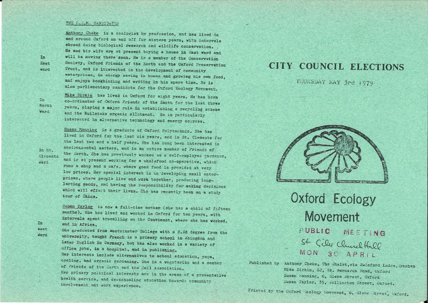#### THE O.E.N. CANDIDATES

Anthony Cheke is a zoologist by profession, and has lived in and around Oxford on and off for sixteen years, with intervals abroad doing biological research and wildlife conservation. He and his wife are at present buying a house in East Ward and will be moving there soon, He is a member of the Conservation Society, Oxford Friends of the Earth and the Oxford Preservation Trust, and is interested in the development of community enterprises, in energy saving in homes and growing his own food. and enjoys bookbinding and writing in his spare time. He is also parliamentary candidate for the Oxford Ecology Movement.

Mike Birkin has lived in Oxford for eight years. He has been

co-ordinator of Oxford Friends of the Earth for the last three

years, playing a major role in establishing a recycling scheme

and the Bullstake organic allotment. He is particularly interested in alternative technology and energy sources.

**Tn North Vard** 

In St.

Ward

**Clements** 

In

East

Womit

Susan Manning is a graduate of Oxford Polytechnic. She has lived in Oxford for the last six years, and in St. Clements for the last two and a half years. She has long been interested in environmental matters, and is an ective member of Friends of the farth. She has previously worked as a self-employed gardener. and is at present working for a wholefood co-operative, which runs a shop and a cafe, where good food is provided at very low prices. Her special interest is in developing small enterprises, where beople live and work together, producing longlasting goods, and having the responsibility for making decisions which will effect their lives. She has recently been on a study tour of China.

Susan Taylor is now a full-time mother (she has a child of fifteen months). She has lived and worked in Oxford for ten years, with intervals spent travelling on the Continent, where she has worked, and in Africa.

She graduated from Westwinster College with a B.Ed degree from the Ward university, taught French in a primary school in Abingdon and later English in Germany, but has also worked in a variety of office jobs, in a hospital, and in publishing. Her interests include alternatives to school education, yoga. cycling, and organic gardening. She is a vegetarian and a member of Priends of the Earth and the Soil Association. Her primary political interests are in the areas of a preventative health service, and de-schooling education towards community involvement and work experience.

## CITY COUNCIL ELECTIONS

MIDRSDAY MAY 3rd 1979



Oxford Ecology Movement PUBLIC MEETING St Cile Clunch Hall MON 30 APRIL

Published by Anthony Cheke, The Chalet, wia Swinford Lodge, Synsham Mike Birkin, 82, St. Bernards Hoad, Oxford Susan Manning, 6, Glebe Street, Oxford Susan Taylor, 35, Wellington Street, Oxford.

Frinted by the Oxford kology Hovement, 6, Glebe Street, Oxford.

In West